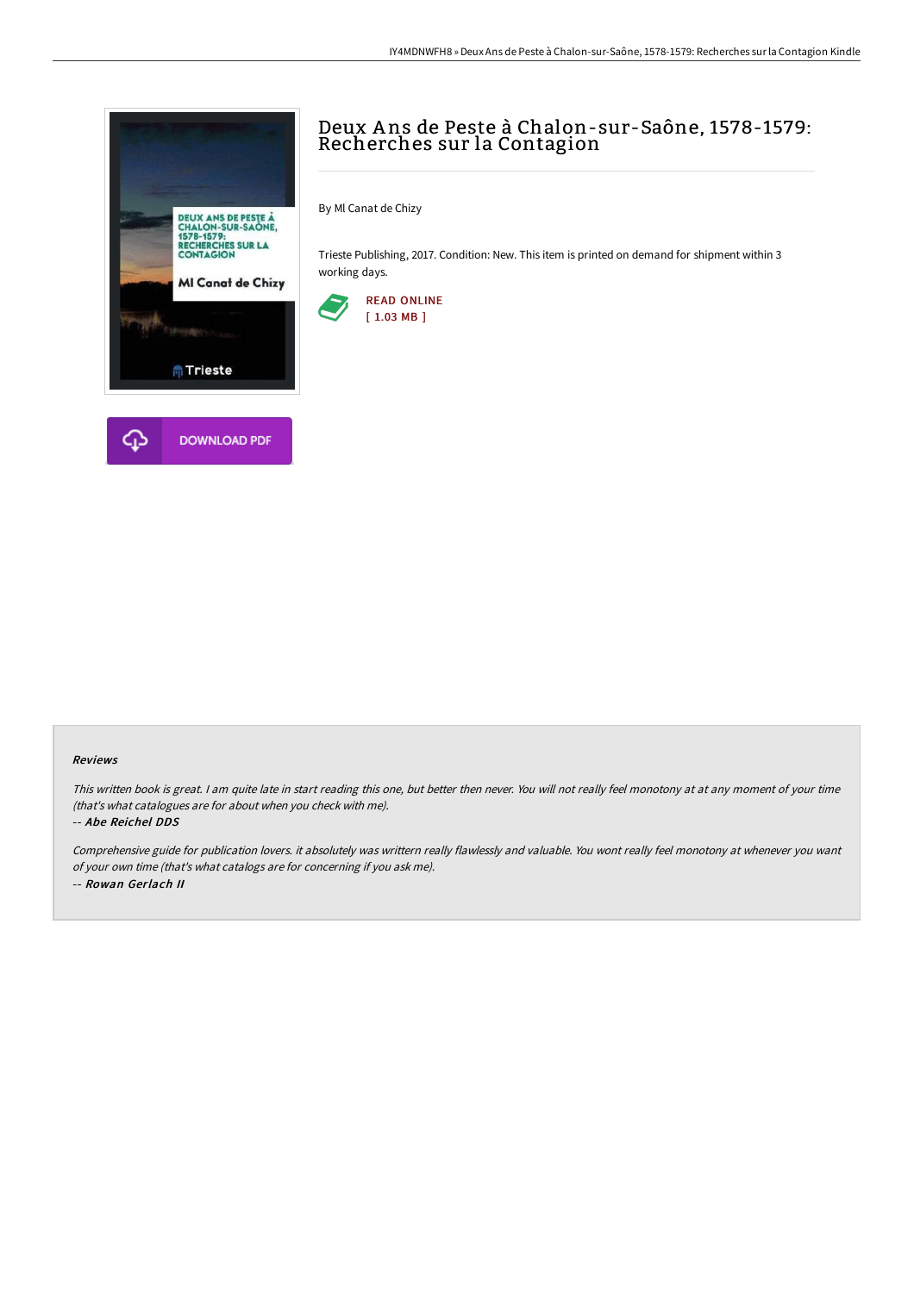

# Deux A ns de Peste à Chalon-sur-Saône, 1578-1579: Recherches sur la Contagion

By Ml Canat de Chizy

Trieste Publishing, 2017. Condition: New. This item is printed on demand for shipment within 3 working days.



### Reviews

This written book is great. <sup>I</sup> am quite late in start reading this one, but better then never. You will not really feel monotony at at any moment of your time (that's what catalogues are for about when you check with me).

#### -- Abe Reichel DDS

Comprehensive guide for publication lovers. it absolutely was writtern really flawlessly and valuable. You wont really feel monotony at whenever you want of your own time (that's what catalogs are for concerning if you ask me). -- Rowan Gerlach II